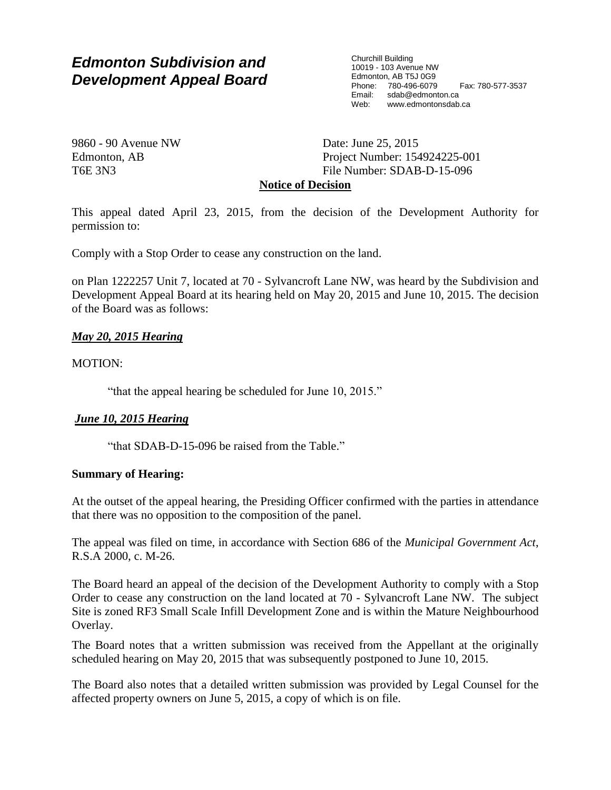# *Edmonton Subdivision and Development Appeal Board*

Churchill Building 10019 - 103 Avenue NW Edmonton, AB T5J 0G9 Phone: 780-496-6079 Fax: 780-577-3537 Email: sdab@edmonton.ca<br>Web: www.edmonton.ca Web: www.edmontonsdab.ca

9860 - 90 Avenue NW Edmonton, AB T6E 3N3

Date: June 25, 2015 Project Number: 154924225-001 File Number: SDAB-D-15-096

## **Notice of Decision**

This appeal dated April 23, 2015, from the decision of the Development Authority for permission to:

Comply with a Stop Order to cease any construction on the land.

on Plan 1222257 Unit 7, located at 70 - Sylvancroft Lane NW, was heard by the Subdivision and Development Appeal Board at its hearing held on May 20, 2015 and June 10, 2015. The decision of the Board was as follows:

## *May 20, 2015 Hearing*

MOTION:

"that the appeal hearing be scheduled for June 10, 2015."

## *June 10, 2015 Hearing*

"that SDAB-D-15-096 be raised from the Table."

### **Summary of Hearing:**

At the outset of the appeal hearing, the Presiding Officer confirmed with the parties in attendance that there was no opposition to the composition of the panel.

The appeal was filed on time, in accordance with Section 686 of the *Municipal Government Act*, R.S.A 2000, c. M-26.

The Board heard an appeal of the decision of the Development Authority to comply with a Stop Order to cease any construction on the land located at 70 - Sylvancroft Lane NW. The subject Site is zoned RF3 Small Scale Infill Development Zone and is within the Mature Neighbourhood Overlay.

The Board notes that a written submission was received from the Appellant at the originally scheduled hearing on May 20, 2015 that was subsequently postponed to June 10, 2015.

The Board also notes that a detailed written submission was provided by Legal Counsel for the affected property owners on June 5, 2015, a copy of which is on file.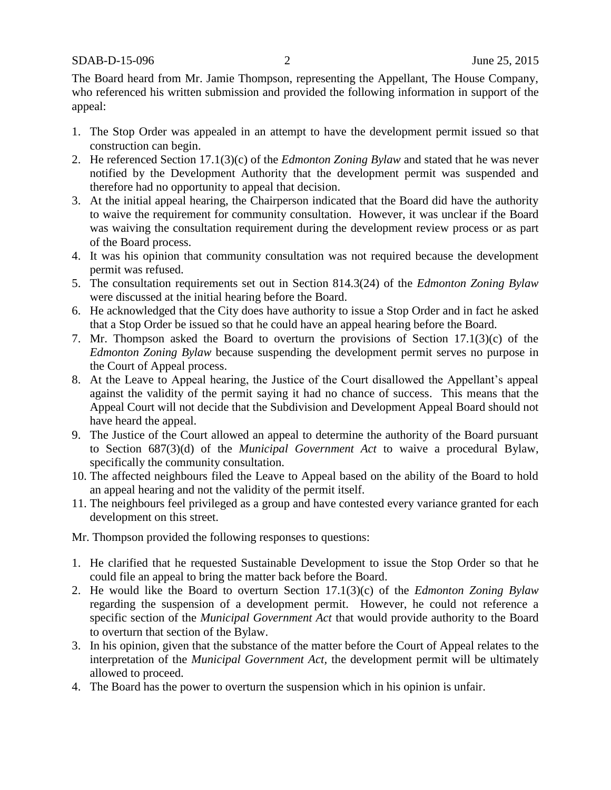The Board heard from Mr. Jamie Thompson, representing the Appellant, The House Company, who referenced his written submission and provided the following information in support of the appeal:

- 1. The Stop Order was appealed in an attempt to have the development permit issued so that construction can begin.
- 2. He referenced Section 17.1(3)(c) of the *Edmonton Zoning Bylaw* and stated that he was never notified by the Development Authority that the development permit was suspended and therefore had no opportunity to appeal that decision.
- 3. At the initial appeal hearing, the Chairperson indicated that the Board did have the authority to waive the requirement for community consultation. However, it was unclear if the Board was waiving the consultation requirement during the development review process or as part of the Board process.
- 4. It was his opinion that community consultation was not required because the development permit was refused.
- 5. The consultation requirements set out in Section 814.3(24) of the *Edmonton Zoning Bylaw* were discussed at the initial hearing before the Board.
- 6. He acknowledged that the City does have authority to issue a Stop Order and in fact he asked that a Stop Order be issued so that he could have an appeal hearing before the Board.
- 7. Mr. Thompson asked the Board to overturn the provisions of Section 17.1(3)(c) of the *Edmonton Zoning Bylaw* because suspending the development permit serves no purpose in the Court of Appeal process.
- 8. At the Leave to Appeal hearing, the Justice of the Court disallowed the Appellant's appeal against the validity of the permit saying it had no chance of success. This means that the Appeal Court will not decide that the Subdivision and Development Appeal Board should not have heard the appeal.
- 9. The Justice of the Court allowed an appeal to determine the authority of the Board pursuant to Section 687(3)(d) of the *Municipal Government Act* to waive a procedural Bylaw, specifically the community consultation.
- 10. The affected neighbours filed the Leave to Appeal based on the ability of the Board to hold an appeal hearing and not the validity of the permit itself.
- 11. The neighbours feel privileged as a group and have contested every variance granted for each development on this street.
- Mr. Thompson provided the following responses to questions:
- 1. He clarified that he requested Sustainable Development to issue the Stop Order so that he could file an appeal to bring the matter back before the Board.
- 2. He would like the Board to overturn Section 17.1(3)(c) of the *Edmonton Zoning Bylaw*  regarding the suspension of a development permit. However, he could not reference a specific section of the *Municipal Government Act* that would provide authority to the Board to overturn that section of the Bylaw.
- 3. In his opinion, given that the substance of the matter before the Court of Appeal relates to the interpretation of the *Municipal Government Act,* the development permit will be ultimately allowed to proceed.
- 4. The Board has the power to overturn the suspension which in his opinion is unfair.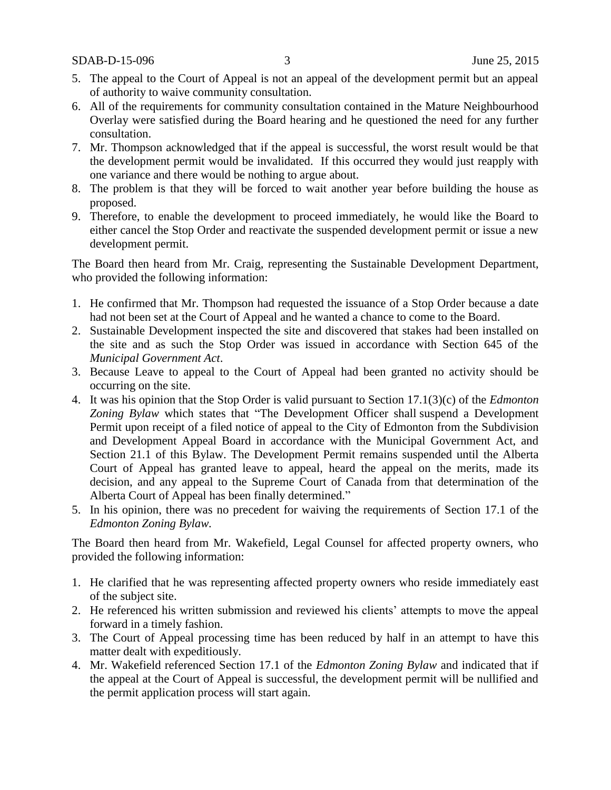SDAB-D-15-096 3 June 25, 2015

- 5. The appeal to the Court of Appeal is not an appeal of the development permit but an appeal of authority to waive community consultation.
- 6. All of the requirements for community consultation contained in the Mature Neighbourhood Overlay were satisfied during the Board hearing and he questioned the need for any further consultation.
- 7. Mr. Thompson acknowledged that if the appeal is successful, the worst result would be that the development permit would be invalidated. If this occurred they would just reapply with one variance and there would be nothing to argue about.
- 8. The problem is that they will be forced to wait another year before building the house as proposed.
- 9. Therefore, to enable the development to proceed immediately, he would like the Board to either cancel the Stop Order and reactivate the suspended development permit or issue a new development permit.

The Board then heard from Mr. Craig, representing the Sustainable Development Department, who provided the following information:

- 1. He confirmed that Mr. Thompson had requested the issuance of a Stop Order because a date had not been set at the Court of Appeal and he wanted a chance to come to the Board.
- 2. Sustainable Development inspected the site and discovered that stakes had been installed on the site and as such the Stop Order was issued in accordance with Section 645 of the *Municipal Government Act*.
- 3. Because Leave to appeal to the Court of Appeal had been granted no activity should be occurring on the site.
- 4. It was his opinion that the Stop Order is valid pursuant to Section 17.1(3)(c) of the *Edmonton Zoning Bylaw* which states that "The Development Officer shall suspend a Development Permit upon receipt of a filed notice of appeal to the City of Edmonton from the Subdivision and Development Appeal Board in accordance with the Municipal Government Act, and Section 21.1 of this Bylaw. The Development Permit remains suspended until the Alberta Court of Appeal has granted leave to appeal, heard the appeal on the merits, made its decision, and any appeal to the Supreme Court of Canada from that determination of the Alberta Court of Appeal has been finally determined."
- 5. In his opinion, there was no precedent for waiving the requirements of Section 17.1 of the *Edmonton Zoning Bylaw.*

The Board then heard from Mr. Wakefield, Legal Counsel for affected property owners, who provided the following information:

- 1. He clarified that he was representing affected property owners who reside immediately east of the subject site.
- 2. He referenced his written submission and reviewed his clients' attempts to move the appeal forward in a timely fashion.
- 3. The Court of Appeal processing time has been reduced by half in an attempt to have this matter dealt with expeditiously.
- 4. Mr. Wakefield referenced Section 17.1 of the *Edmonton Zoning Bylaw* and indicated that if the appeal at the Court of Appeal is successful, the development permit will be nullified and the permit application process will start again.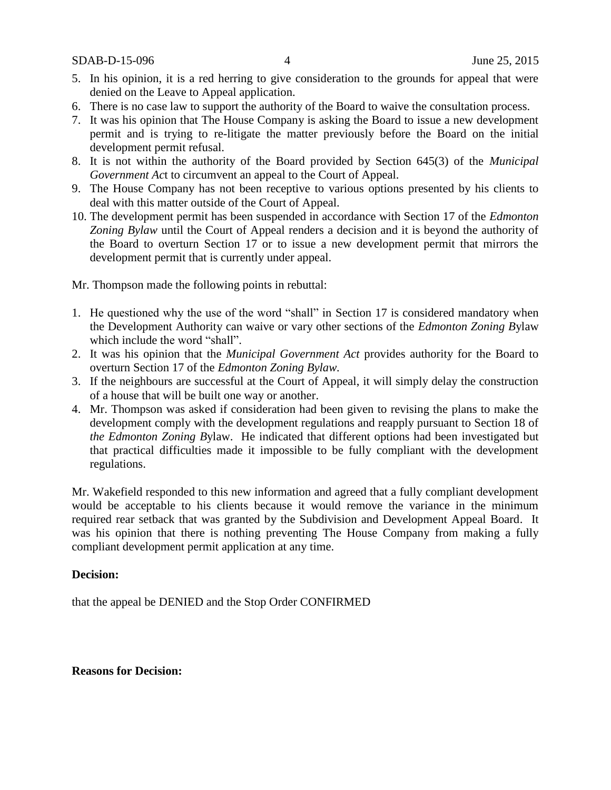SDAB-D-15-096 4 June 25, 2015

- 5. In his opinion, it is a red herring to give consideration to the grounds for appeal that were denied on the Leave to Appeal application.
- 6. There is no case law to support the authority of the Board to waive the consultation process.
- 7. It was his opinion that The House Company is asking the Board to issue a new development permit and is trying to re-litigate the matter previously before the Board on the initial development permit refusal.
- 8. It is not within the authority of the Board provided by Section 645(3) of the *Municipal Government Ac*t to circumvent an appeal to the Court of Appeal.
- 9. The House Company has not been receptive to various options presented by his clients to deal with this matter outside of the Court of Appeal.
- 10. The development permit has been suspended in accordance with Section 17 of the *Edmonton Zoning Bylaw* until the Court of Appeal renders a decision and it is beyond the authority of the Board to overturn Section 17 or to issue a new development permit that mirrors the development permit that is currently under appeal.

Mr. Thompson made the following points in rebuttal:

- 1. He questioned why the use of the word "shall" in Section 17 is considered mandatory when the Development Authority can waive or vary other sections of the *Edmonton Zoning B*ylaw which include the word "shall".
- 2. It was his opinion that the *Municipal Government Act* provides authority for the Board to overturn Section 17 of the *Edmonton Zoning Bylaw.*
- 3. If the neighbours are successful at the Court of Appeal, it will simply delay the construction of a house that will be built one way or another.
- 4. Mr. Thompson was asked if consideration had been given to revising the plans to make the development comply with the development regulations and reapply pursuant to Section 18 of *the Edmonton Zoning B*ylaw. He indicated that different options had been investigated but that practical difficulties made it impossible to be fully compliant with the development regulations.

Mr. Wakefield responded to this new information and agreed that a fully compliant development would be acceptable to his clients because it would remove the variance in the minimum required rear setback that was granted by the Subdivision and Development Appeal Board. It was his opinion that there is nothing preventing The House Company from making a fully compliant development permit application at any time.

### **Decision:**

that the appeal be DENIED and the Stop Order CONFIRMED

#### **Reasons for Decision:**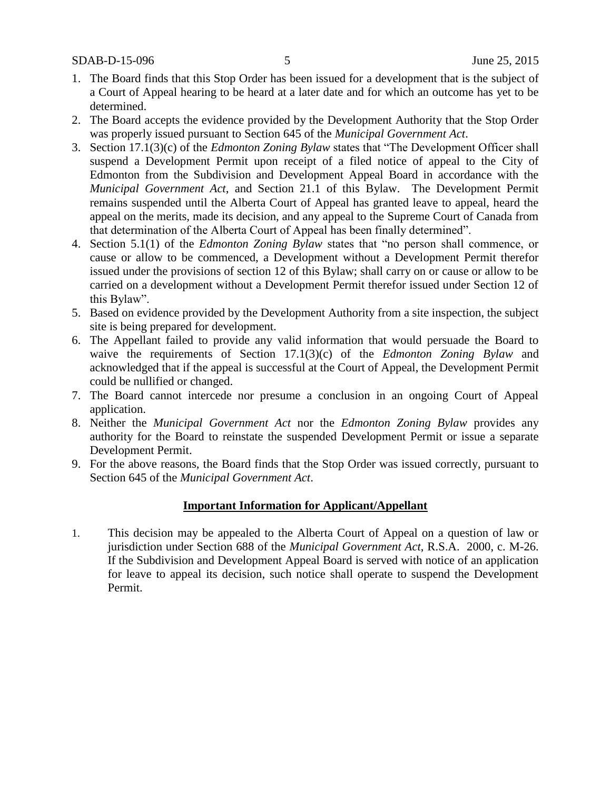- 1. The Board finds that this Stop Order has been issued for a development that is the subject of a Court of Appeal hearing to be heard at a later date and for which an outcome has yet to be determined.
- 2. The Board accepts the evidence provided by the Development Authority that the Stop Order was properly issued pursuant to Section 645 of the *Municipal Government Act*.
- 3. Section 17.1(3)(c) of the *Edmonton Zoning Bylaw* states that "The Development Officer shall suspend a Development Permit upon receipt of a filed notice of appeal to the City of Edmonton from the Subdivision and Development Appeal Board in accordance with the *Municipal Government Act*, and Section 21.1 of this Bylaw. The Development Permit remains suspended until the Alberta Court of Appeal has granted leave to appeal, heard the appeal on the merits, made its decision, and any appeal to the Supreme Court of Canada from that determination of the Alberta Court of Appeal has been finally determined".
- 4. Section 5.1(1) of the *Edmonton Zoning Bylaw* states that "no person shall commence, or cause or allow to be commenced, a Development without a Development Permit therefor issued under the provisions of section 12 of this Bylaw; shall carry on or cause or allow to be carried on a development without a Development Permit therefor issued under Section 12 of this Bylaw".
- 5. Based on evidence provided by the Development Authority from a site inspection, the subject site is being prepared for development.
- 6. The Appellant failed to provide any valid information that would persuade the Board to waive the requirements of Section 17.1(3)(c) of the *Edmonton Zoning Bylaw* and acknowledged that if the appeal is successful at the Court of Appeal, the Development Permit could be nullified or changed.
- 7. The Board cannot intercede nor presume a conclusion in an ongoing Court of Appeal application.
- 8. Neither the *Municipal Government Act* nor the *Edmonton Zoning Bylaw* provides any authority for the Board to reinstate the suspended Development Permit or issue a separate Development Permit.
- 9. For the above reasons, the Board finds that the Stop Order was issued correctly, pursuant to Section 645 of the *Municipal Government Act*.

#### **Important Information for Applicant/Appellant**

1. This decision may be appealed to the Alberta Court of Appeal on a question of law or jurisdiction under Section 688 of the *Municipal Government Act*, R.S.A. 2000, c. M-26. If the Subdivision and Development Appeal Board is served with notice of an application for leave to appeal its decision, such notice shall operate to suspend the Development Permit.